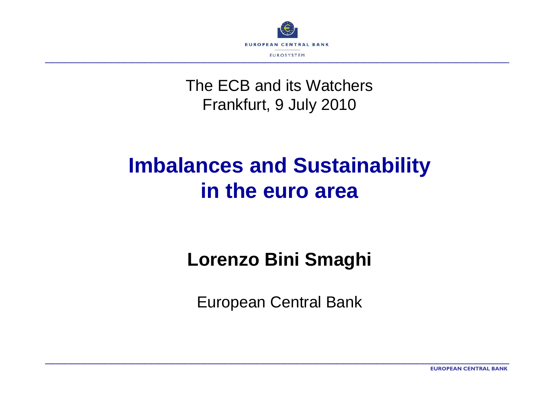

#### The ECB and its WatchersFrankfurt, 9 July 2010

\_\_\_\_\_\_\_\_\_\_\_\_\_\_\_\_\_\_\_\_\_\_\_\_\_\_\_\_\_\_\_\_\_\_\_\_\_\_\_\_\_\_\_\_\_\_\_\_\_\_\_\_\_\_\_\_\_\_\_\_\_\_\_\_\_\_\_\_\_\_

# **Imbalances and Sustainability in the euro area**

#### **Lorenzo Bini Smaghi**

European Central Bank

\_\_\_\_\_\_\_\_\_\_\_\_\_\_\_\_\_\_\_\_\_\_\_\_\_\_\_\_\_\_\_\_\_\_\_\_\_\_\_\_\_\_\_\_\_\_\_\_\_\_\_\_\_\_\_\_\_\_\_\_\_\_\_\_\_\_\_\_\_\_

**EUROPEAN CENTRAL BANK**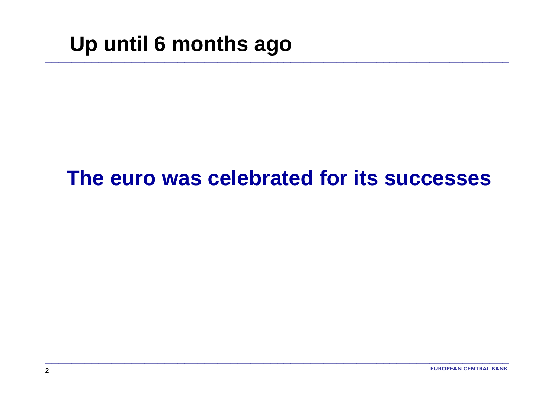# **Up until 6 months ago**

#### **The euro was celebrated for its successes**

\_\_\_\_\_\_\_\_\_\_\_\_\_\_\_\_\_\_\_\_\_\_\_\_\_\_\_\_\_\_\_\_\_\_\_\_\_\_\_\_\_\_\_\_\_\_\_\_\_\_\_\_\_\_\_\_\_\_\_\_\_\_\_\_\_\_\_\_\_\_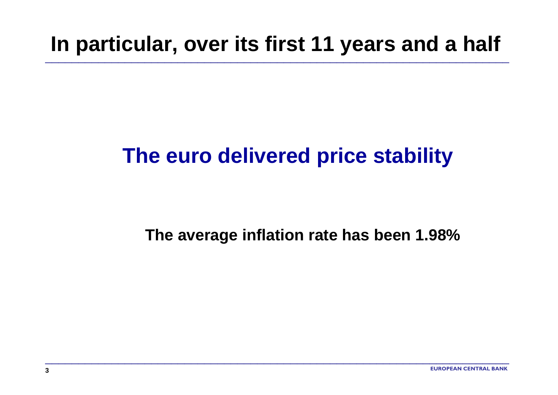# **In particular, over its first 11 years and a half**

\_\_\_\_\_\_\_\_\_\_\_\_\_\_\_\_\_\_\_\_\_\_\_\_\_\_\_\_\_\_\_\_\_\_\_\_\_\_\_\_\_\_\_\_\_\_\_\_\_\_\_\_\_\_\_\_\_\_\_\_\_\_\_\_\_\_\_\_\_\_

# **The euro delivered price stability**

\_\_\_\_\_\_\_\_\_\_\_\_\_\_\_\_\_\_\_\_\_\_\_\_\_\_\_\_\_\_\_\_\_\_\_\_\_\_\_\_\_\_\_\_\_\_\_\_\_\_\_\_\_\_\_\_\_\_\_\_\_\_\_\_\_\_\_\_\_\_

#### **The average inflation rate has been 1.98%**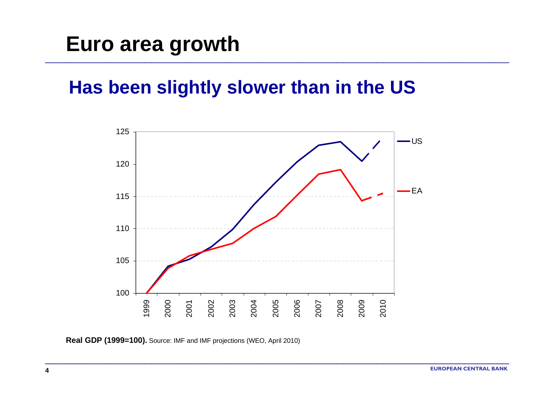## **Euro area growth**

#### **Has been slightly slower than in the US**

\_\_\_\_\_\_\_\_\_\_\_\_\_\_\_\_\_\_\_\_\_\_\_\_\_\_\_\_\_\_\_\_\_\_\_\_\_\_\_\_\_\_\_\_\_\_\_\_\_\_\_\_\_\_\_\_\_\_\_\_\_\_\_\_\_\_\_\_\_\_



\_\_\_\_\_\_\_\_\_\_\_\_\_\_\_\_\_\_\_\_\_\_\_\_\_\_\_\_\_\_\_\_\_\_\_\_\_\_\_\_\_\_\_\_\_\_\_\_\_\_\_\_\_\_\_\_\_\_\_\_\_\_\_\_\_\_\_\_\_\_

**Real GDP (1999=100).** Source: IMF and IMF projections (WEO, April 2010)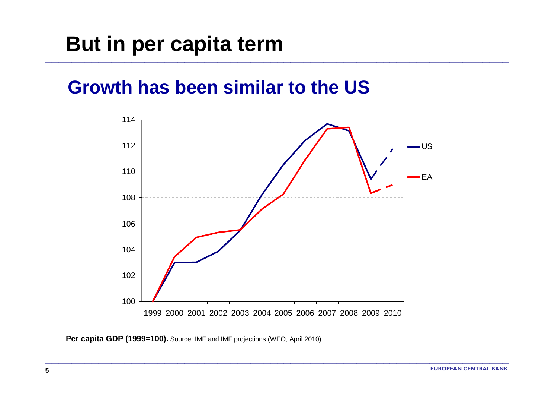## **But in per capita term**

#### **Growth has been similar to the US**



\_\_\_\_\_\_\_\_\_\_\_\_\_\_\_\_\_\_\_\_\_\_\_\_\_\_\_\_\_\_\_\_\_\_\_\_\_\_\_\_\_\_\_\_\_\_\_\_\_\_\_\_\_\_\_\_\_\_\_\_\_\_\_\_\_\_\_\_\_\_

\_\_\_\_\_\_\_\_\_\_\_\_\_\_\_\_\_\_\_\_\_\_\_\_\_\_\_\_\_\_\_\_\_\_\_\_\_\_\_\_\_\_\_\_\_\_\_\_\_\_\_\_\_\_\_\_\_\_\_\_\_\_\_\_\_\_\_\_\_\_

**Per capita GDP (1999=100).** Source: IMF and IMF projections (WEO, April 2010)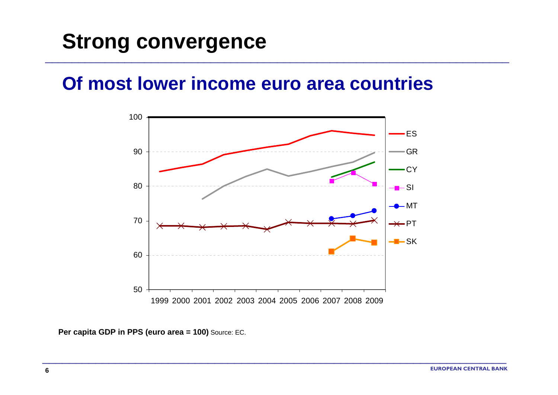### **Strong convergence**

#### **Of most lower income euro area countries**

\_\_\_\_\_\_\_\_\_\_\_\_\_\_\_\_\_\_\_\_\_\_\_\_\_\_\_\_\_\_\_\_\_\_\_\_\_\_\_\_\_\_\_\_\_\_\_\_\_\_\_\_\_\_\_\_\_\_\_\_\_\_\_\_\_\_\_\_\_\_



**Per capita GDP in PPS (euro area = 100)** Source: EC.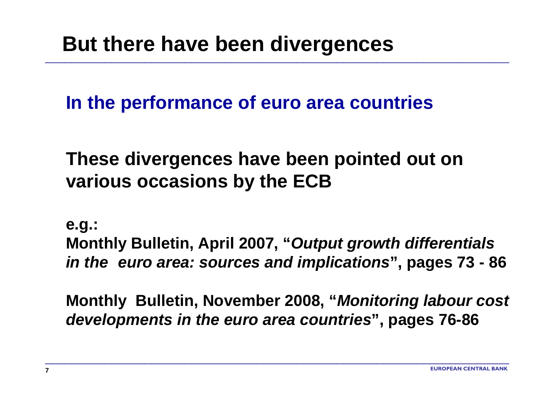## **But there have been divergences**

**In the performance of euro area countries**

**These divergences have been pointed out on various occasions by the ECB**

\_\_\_\_\_\_\_\_\_\_\_\_\_\_\_\_\_\_\_\_\_\_\_\_\_\_\_\_\_\_\_\_\_\_\_\_\_\_\_\_\_\_\_\_\_\_\_\_\_\_\_\_\_\_\_\_\_\_\_\_\_\_\_\_\_\_\_\_\_\_

**e.g.:**

**Monthly Bulletin, April 2007, "***Output growth differentials in the euro area: sources and implications***", pages 73 - 86**

**Monthly Bulletin, November 2008, "***Monitoring labour cost developments in the euro area countries***", pages 76-86**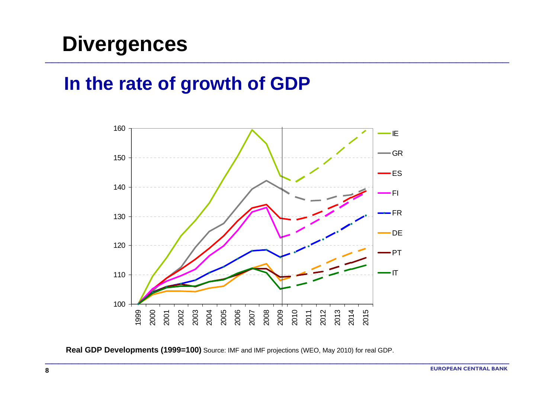# **Divergences**

#### **In the rate of growth of GDP**



\_\_\_\_\_\_\_\_\_\_\_\_\_\_\_\_\_\_\_\_\_\_\_\_\_\_\_\_\_\_\_\_\_\_\_\_\_\_\_\_\_\_\_\_\_\_\_\_\_\_\_\_\_\_\_\_\_\_\_\_\_\_\_\_\_\_\_\_\_\_

\_\_\_\_\_\_\_\_\_\_\_\_\_\_\_\_\_\_\_\_\_\_\_\_\_\_\_\_\_\_\_\_\_\_\_\_\_\_\_\_\_\_\_\_\_\_\_\_\_\_\_\_\_\_\_\_\_\_\_\_\_\_\_\_\_\_\_\_\_\_

**Real GDP Developments (1999=100)** Source: IMF and IMF projections (WEO, May 2010) for real GDP.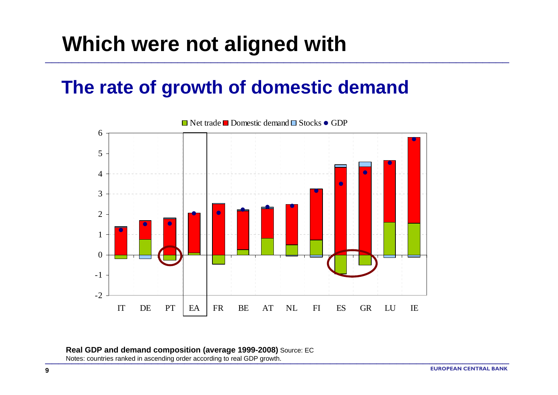# **Which were not aligned with**

 $\overline{\phantom{a}}$  , and the contract of the contract of the contract of the contract of the contract of the contract of the contract of the contract of the contract of the contract of the contract of the contract of the contrac

 $\overline{\phantom{a}}$  , and the contract of the contract of the contract of the contract of the contract of the contract of the contract of the contract of the contract of the contract of the contract of the contract of the contrac

#### **The rate of growth of domestic demand**



\_\_\_\_\_\_\_\_\_\_\_\_\_\_\_\_\_\_\_\_\_\_\_\_\_\_\_\_\_\_\_\_\_\_\_\_\_\_\_\_\_\_\_\_\_\_

\_\_\_\_\_\_\_\_\_\_\_\_\_\_\_\_\_\_\_\_\_\_\_\_\_\_\_\_\_\_\_\_\_\_\_\_\_\_\_\_\_\_\_\_\_\_

#### **Real GDP and demand composition (average 1999-2008)** Source: EC Notes: countries ranked in ascending order according to real GDP growth.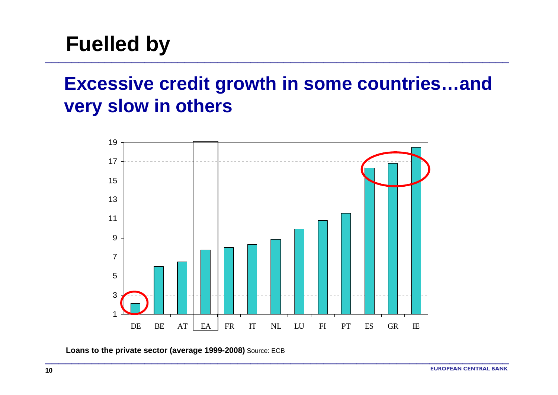# **Fuelled by**

### **Excessive credit growth in some countries…and very slow in others**

\_\_\_\_\_\_\_\_\_\_\_\_\_\_\_\_\_\_\_\_\_\_\_\_\_\_\_\_\_\_\_\_\_\_\_\_\_\_\_\_\_\_\_\_\_\_\_\_\_\_\_\_\_\_\_\_\_\_\_\_\_\_\_\_\_\_\_\_\_\_



\_\_\_\_\_\_\_\_\_\_\_\_\_\_\_\_\_\_\_\_\_\_\_\_\_\_\_\_\_\_\_\_\_\_\_\_\_\_\_\_\_\_\_\_\_\_\_\_\_\_\_\_\_\_\_\_\_\_\_\_\_\_\_\_\_\_\_\_\_\_

**Loans to the private sector (average 1999-2008)** Source: ECB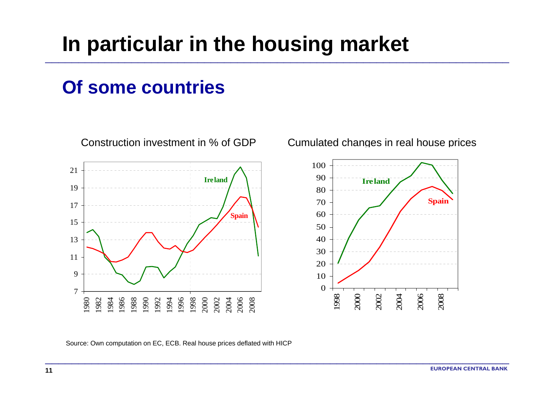# **In particular in the housing market**

\_\_\_\_\_\_\_\_\_\_\_\_\_\_\_\_\_\_\_\_\_\_\_\_\_\_\_\_\_\_\_\_\_\_\_\_\_\_\_\_\_\_\_\_\_\_\_\_\_\_\_\_\_\_\_\_\_\_\_\_\_\_\_\_\_\_\_\_\_\_

\_\_\_\_\_\_\_\_\_\_\_\_\_\_\_\_\_\_\_\_\_\_\_\_\_\_\_\_\_\_\_\_\_\_\_\_\_\_\_\_\_\_\_\_\_\_\_\_\_\_\_\_\_\_\_\_\_\_\_\_\_\_\_\_\_\_\_\_\_\_

#### **Of some countries**



Construction investment in % of GDP Cumulated changes in real house prices



Source: Own computation on EC, ECB. Real house prices deflated with HICP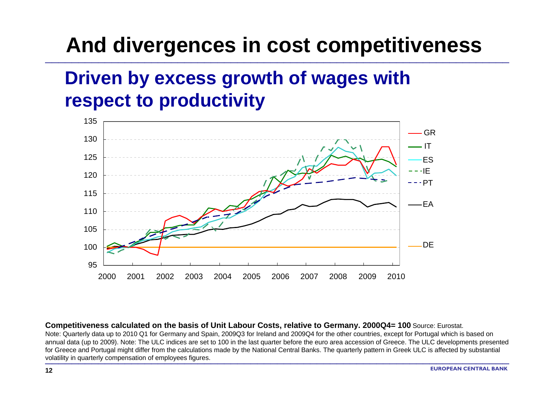# **And divergences in cost competitiveness**

\_\_\_\_\_\_\_\_\_\_\_\_\_\_\_\_\_\_\_\_\_\_\_\_\_\_\_\_\_\_\_\_\_\_\_\_\_\_\_\_\_\_\_\_\_\_\_\_\_\_\_\_\_\_\_\_\_\_\_\_\_\_\_\_\_\_\_\_\_\_

### **Driven by excess growth of wages with respect to productivity**



**Competitiveness calculated on the basis of Unit Labour Costs, relative to Germany. 2000Q4= 100** Source: Eurostat. Note: Quarterly data up to 2010 Q1 for Germany and Spain, 2009Q3 for Ireland and 2009Q4 for the other countries, except for Portugal which is based on annual data (up to 2009). Note: The ULC indices are set to 100 in the last quarter before the euro area accession of Greece. The ULC developments presented for Greece and Portugal might differ from the calculations made by the National Central Banks. The quarterly pattern in Greek ULC is affected by substantial volatility in quarterly compensation of employees figures.

\_\_\_\_\_\_\_\_\_\_\_\_\_\_\_\_\_\_\_\_\_\_\_\_\_\_\_\_\_\_\_\_\_\_\_\_\_\_\_\_\_\_\_\_\_\_

 $\overline{\phantom{a}}$  , and the contract of the contract of the contract of the contract of the contract of the contract of the contract of the contract of the contract of the contract of the contract of the contract of the contrac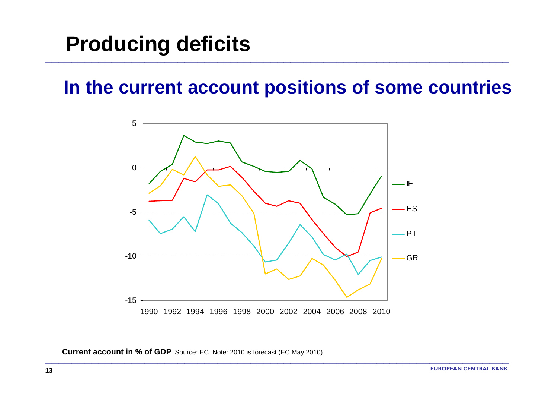# **Producing deficits**

#### **In the current account positions of some countries**

\_\_\_\_\_\_\_\_\_\_\_\_\_\_\_\_\_\_\_\_\_\_\_\_\_\_\_\_\_\_\_\_\_\_\_\_\_\_\_\_\_\_\_\_\_\_\_\_\_\_\_\_\_\_\_\_\_\_\_\_\_\_\_\_\_\_\_\_\_\_



\_\_\_\_\_\_\_\_\_\_\_\_\_\_\_\_\_\_\_\_\_\_\_\_\_\_\_\_\_\_\_\_\_\_\_\_\_\_\_\_\_\_\_\_\_\_\_\_\_\_\_\_\_\_\_\_\_\_\_\_\_\_\_\_\_\_\_\_\_\_

**Current account in % of GDP**. Source: EC. Note: 2010 is forecast (EC May 2010)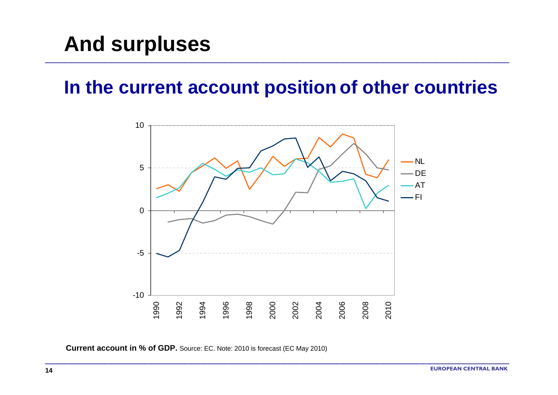## **And surpluses**

#### **In the current account position of other countries**

\_\_\_\_\_\_\_\_\_\_\_\_\_\_\_\_\_\_\_\_\_\_\_\_\_\_\_\_\_\_\_\_\_\_\_\_\_\_\_\_\_\_\_\_\_\_\_\_\_\_\_\_\_\_\_\_\_\_\_\_\_\_\_\_\_\_\_\_\_\_



\_\_\_\_\_\_\_\_\_\_\_\_\_\_\_\_\_\_\_\_\_\_\_\_\_\_\_\_\_\_\_\_\_\_\_\_\_\_\_\_\_\_\_\_\_\_\_\_\_\_\_\_\_\_\_\_\_\_\_\_\_\_\_\_\_\_\_\_\_\_

**Current account in % of GDP.** Source: EC. Note: 2010 is forecast (EC May 2010)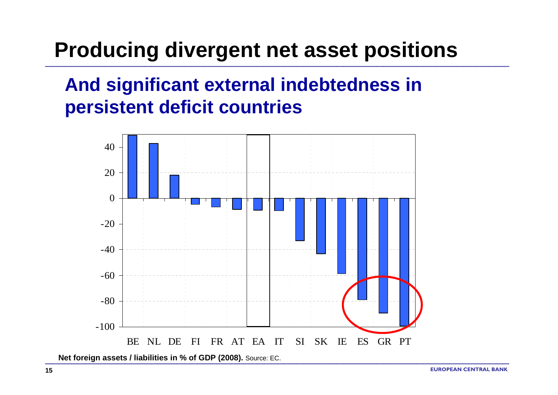# **Producing divergent net asset positions**

#### **And significant external indebtedness in persistent deficit countries**



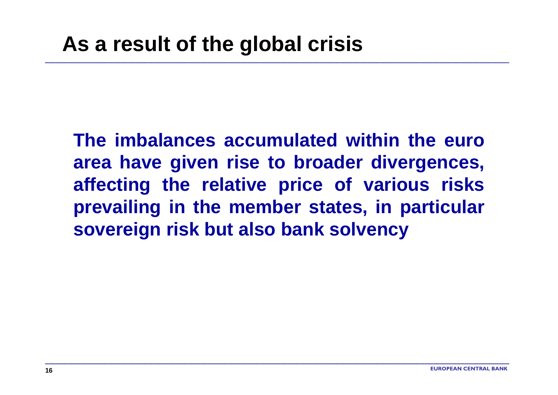**The imbalances accumulated within the euro area have given rise to broader divergences, affecting the relative price of various risks prevailing in the member states, in particular sovereign risk but also bank solvency**

\_\_\_\_\_\_\_\_\_\_\_\_\_\_\_\_\_\_\_\_\_\_\_\_\_\_\_\_\_\_\_\_\_\_\_\_\_\_\_\_\_\_\_\_\_\_\_\_\_\_\_\_\_\_\_\_\_\_\_\_\_\_\_\_\_\_\_\_\_\_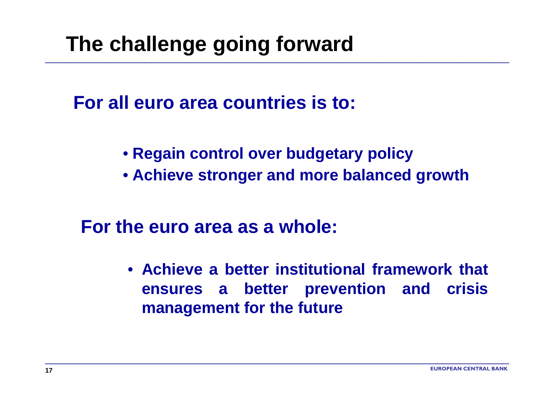# **The challenge going forward**

**For all euro area countries is to:**

• **Regain control over budgetary policy**

\_\_\_\_\_\_\_\_\_\_\_\_\_\_\_\_\_\_\_\_\_\_\_\_\_\_\_\_\_\_\_\_\_\_\_\_\_\_\_\_\_\_\_\_\_\_\_\_\_\_\_\_\_\_\_\_\_\_\_\_\_\_\_\_\_\_\_\_\_\_

• **Achieve stronger and more balanced growth**

**For the euro area as a whole:** 

• **Achieve a better institutional framework that ensures a better prevention and crisis management for the future**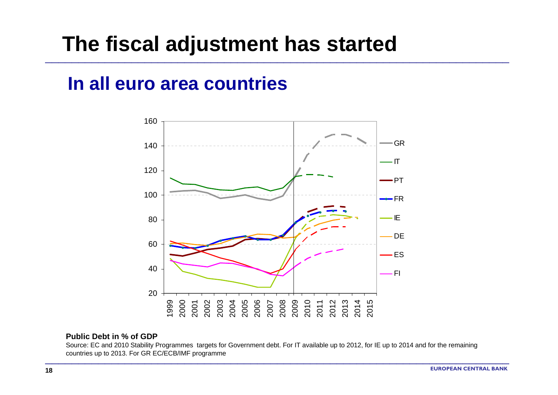### **The fiscal adjustment has started**

#### **In all euro area countries**



\_\_\_\_\_\_\_\_\_\_\_\_\_\_\_\_\_\_\_\_\_\_\_\_\_\_\_\_\_\_\_\_\_\_\_\_\_\_\_\_\_\_\_\_\_\_\_\_\_\_\_\_\_\_\_\_\_\_\_\_\_\_\_\_\_\_\_\_\_\_

#### **Public Debt in % of GDP**

Source: EC and 2010 Stability Programmes targets for Government debt. For IT available up to 2012, for IE up to 2014 and for the remaining countries up to 2013. For GR EC/ECB/IMF programme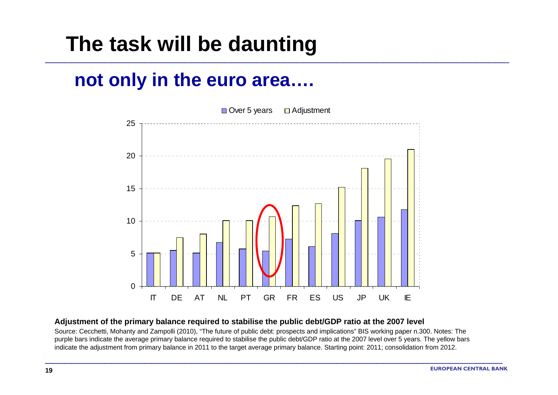## **The task will be daunting**

#### **not only in the euro area….**



\_\_\_\_\_\_\_\_\_\_\_\_\_\_\_\_\_\_\_\_\_\_\_\_\_\_\_\_\_\_\_\_\_\_\_\_\_\_\_\_\_\_\_\_\_\_\_\_\_\_\_\_\_\_\_\_\_\_\_\_\_\_\_\_\_\_\_\_\_\_

#### **Adjustment of the primary balance required to stabilise the public debt/GDP ratio at the 2007 level**

Source: Cecchetti, Mohanty and Zampolli (2010), "The future of public debt: prospects and implications" BIS working paper n.300. Notes: The purple bars indicate the average primary balance required to stabilise the public debt/GDP ratio at the 2007 level over 5 years. The yellow bars indicate the adjustment from primary balance in 2011 to the target average primary balance. Starting point: 2011; consolidation from 2012.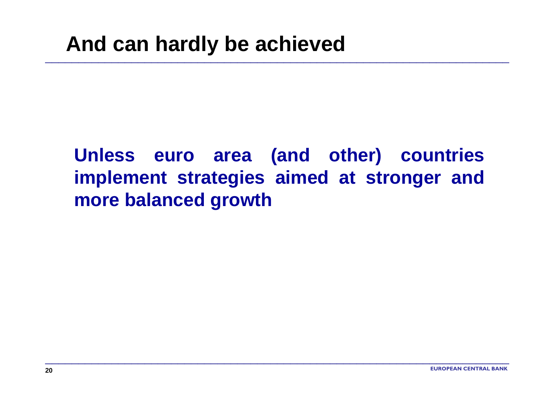### **Unless euro area (and other) countries implement strategies aimed at stronger and more balanced growth**

\_\_\_\_\_\_\_\_\_\_\_\_\_\_\_\_\_\_\_\_\_\_\_\_\_\_\_\_\_\_\_\_\_\_\_\_\_\_\_\_\_\_\_\_\_\_\_\_\_\_\_\_\_\_\_\_\_\_\_\_\_\_\_\_\_\_\_\_\_\_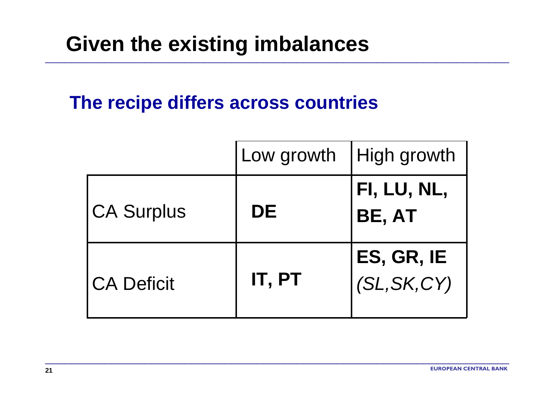# **Given the existing imbalances**

#### **The recipe differs across countries**

|                   | Low growth | High growth                |
|-------------------|------------|----------------------------|
| <b>CA Surplus</b> | DE         | FI, LU, NL,<br>BE, AT      |
| <b>CA Deficit</b> | IT, PT     | ES, GR, IE<br>(SL, SK, CY) |

\_\_\_\_\_\_\_\_\_\_\_\_\_\_\_\_\_\_\_\_\_\_\_\_\_\_\_\_\_\_\_\_\_\_\_\_\_\_\_\_\_\_\_\_\_\_\_\_\_\_\_\_\_\_\_\_\_\_\_\_\_\_\_\_\_\_\_\_\_\_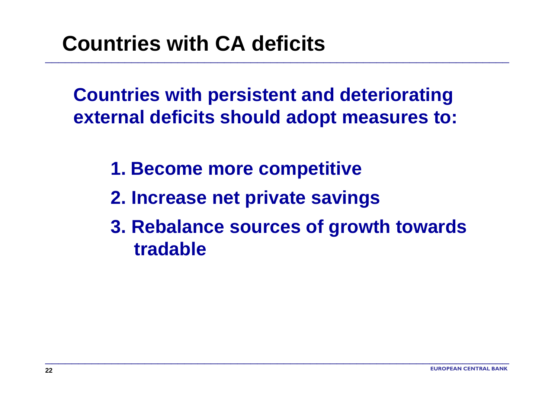# **Countries with CA deficits**

**Countries with persistent and deteriorating external deficits should adopt measures to:**

\_\_\_\_\_\_\_\_\_\_\_\_\_\_\_\_\_\_\_\_\_\_\_\_\_\_\_\_\_\_\_\_\_\_\_\_\_\_\_\_\_\_\_\_\_\_\_\_\_\_\_\_\_\_\_\_\_\_\_\_\_\_\_\_\_\_\_\_\_\_

- **1. Become more competitive**
- **2. Increase net private savings**
- **3. Rebalance sources of growth towards tradable**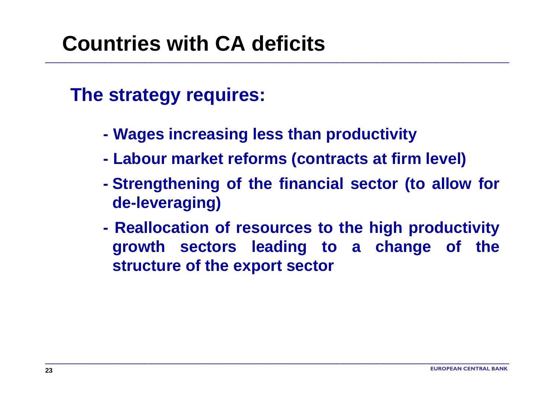# **Countries with CA deficits**

#### **The strategy requires:**

- **Wages increasing less than productivity**
- **Labour market reforms (contracts at firm level)**

\_\_\_\_\_\_\_\_\_\_\_\_\_\_\_\_\_\_\_\_\_\_\_\_\_\_\_\_\_\_\_\_\_\_\_\_\_\_\_\_\_\_\_\_\_\_\_\_\_\_\_\_\_\_\_\_\_\_\_\_\_\_\_\_\_\_\_\_\_\_

- **Strengthening of the financial sector (to allow for de-leveraging)**
- **Reallocation of resources to the high productivity growth sectors leading to a change of the structure of the export sector**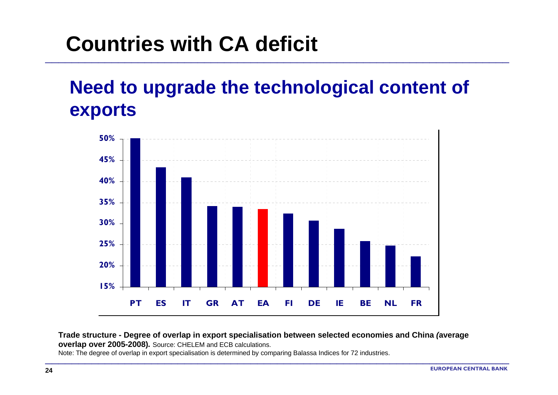# **Countries with CA deficit**

### **Need to upgrade the technological content of exports**

\_\_\_\_\_\_\_\_\_\_\_\_\_\_\_\_\_\_\_\_\_\_\_\_\_\_\_\_\_\_\_\_\_\_\_\_\_\_\_\_\_\_\_\_\_\_\_\_\_\_\_\_\_\_\_\_\_\_\_\_\_\_\_\_\_\_\_\_\_\_



#### **Trade structure - Degree of overlap in export specialisation between selected economies and China** *(***average overlap over 2005-2008)***.* Source: CHELEM and ECB calculations.

\_\_\_\_\_\_\_\_\_\_\_\_\_\_\_\_\_\_\_\_\_\_\_\_\_\_\_\_\_\_\_\_\_\_\_\_\_\_\_\_\_\_\_\_\_\_\_\_\_\_\_\_\_\_\_\_\_\_\_\_\_\_\_\_\_\_\_\_\_\_

Note: The degree of overlap in export specialisation is determined by comparing Balassa Indices for 72 industries.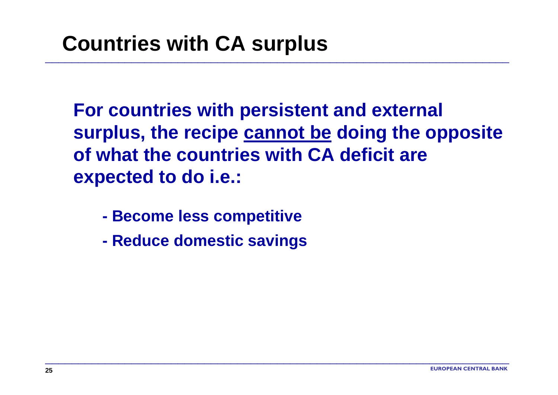**For countries with persistent and external surplus, the recipe cannot be doing the opposite of what the countries with CA deficit are expected to do i.e.:**

\_\_\_\_\_\_\_\_\_\_\_\_\_\_\_\_\_\_\_\_\_\_\_\_\_\_\_\_\_\_\_\_\_\_\_\_\_\_\_\_\_\_\_\_\_\_\_\_\_\_\_\_\_\_\_\_\_\_\_\_\_\_\_\_\_\_\_\_\_\_

- **- Become less competitive**
- **- Reduce domestic savings**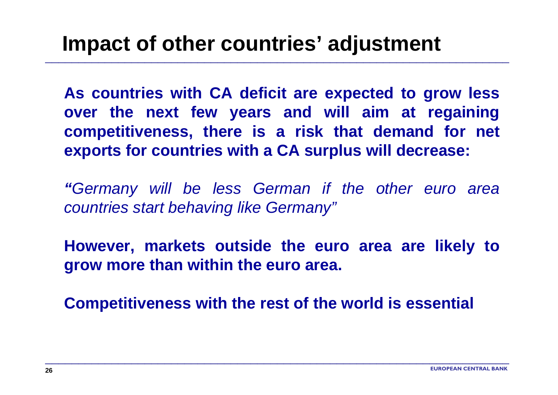**As countries with CA deficit are expected to grow less over the next few years and will aim at regaining competitiveness, there is a risk that demand for net exports for countries with a CA surplus will decrease:** 

\_\_\_\_\_\_\_\_\_\_\_\_\_\_\_\_\_\_\_\_\_\_\_\_\_\_\_\_\_\_\_\_\_\_\_\_\_\_\_\_\_\_\_\_\_\_\_\_\_\_\_\_\_\_\_\_\_\_\_\_\_\_\_\_\_\_\_\_\_\_

*"Germany will be less German if the other euro area countries start behaving like Germany"*

**However, markets outside the euro area are likely to grow more than within the euro area.**

**Competitiveness with the rest of the world is essential**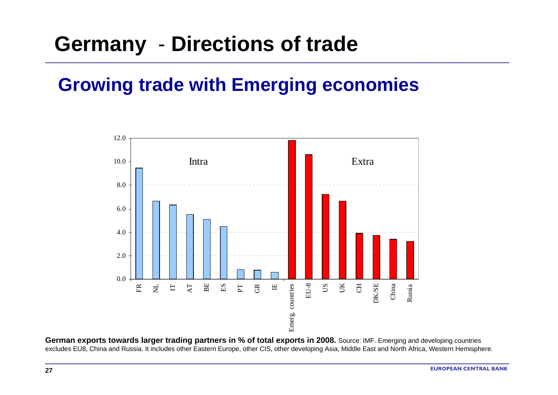# **Germany** - **Directions of trade**

#### **Growing trade with Emerging economies**

\_\_\_\_\_\_\_\_\_\_\_\_\_\_\_\_\_\_\_\_\_\_\_\_\_\_\_\_\_\_\_\_\_\_\_\_\_\_\_\_\_\_\_\_\_\_\_\_\_\_\_\_\_\_\_\_\_\_\_\_\_\_\_\_\_\_\_\_\_\_



**German exports towards larger trading partners in % of total exports in 2008.** Source: IMF. Emerging and developing countries excludes EU8, China and Russia. It includes other Eastern Europe, other CIS, other developing Asia, Middle East and North Africa, Western Hemisphere.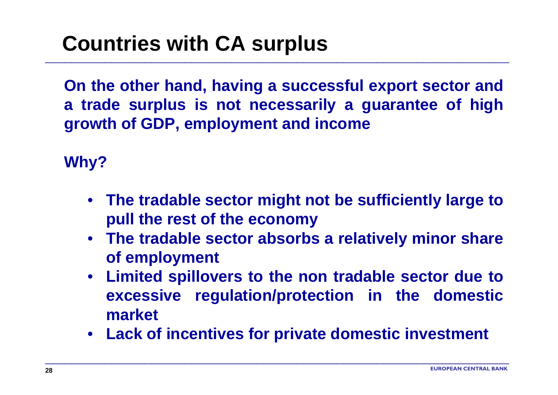# **Countries with CA surplus**

**On the other hand, having a successful export sector and a trade surplus is not necessarily a guarantee of high growth of GDP, employment and income**

\_\_\_\_\_\_\_\_\_\_\_\_\_\_\_\_\_\_\_\_\_\_\_\_\_\_\_\_\_\_\_\_\_\_\_\_\_\_\_\_\_\_\_\_\_\_\_\_\_\_\_\_\_\_\_\_\_\_\_\_\_\_\_\_\_\_\_\_\_\_

**Why?**

- **The tradable sector might not be sufficiently large to pull the rest of the economy**
- **The tradable sector absorbs a relatively minor share of employment**
- **Limited spillovers to the non tradable sector due to excessive regulation/protection in the domestic market**
- **Lack of incentives for private domestic investment**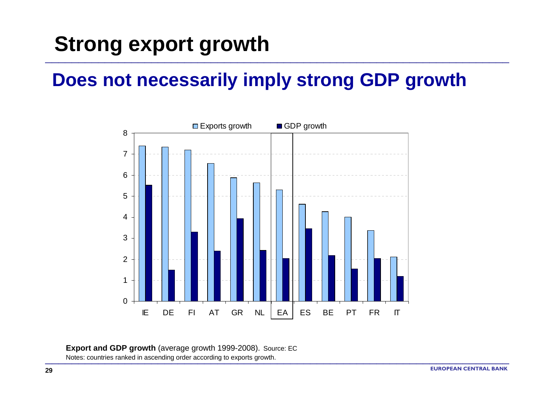#### **Does not necessarily imply strong GDP growth**

\_\_\_\_\_\_\_\_\_\_\_\_\_\_\_\_\_\_\_\_\_\_\_\_\_\_\_\_\_\_\_\_\_\_\_\_\_\_\_\_\_\_\_\_\_\_\_\_\_\_\_\_\_\_\_\_\_\_\_\_\_\_\_\_\_\_\_\_\_\_



\_\_\_\_\_\_\_\_\_\_\_\_\_\_\_\_\_\_\_\_\_\_\_\_\_\_\_\_\_\_\_\_\_\_\_\_\_\_\_\_\_\_\_\_\_\_\_\_\_\_\_\_\_\_\_\_\_\_\_\_\_\_\_\_\_\_\_\_\_\_

#### **Export and GDP growth** (average growth 1999-2008). Source: EC

Notes: countries ranked in ascending order according to exports growth.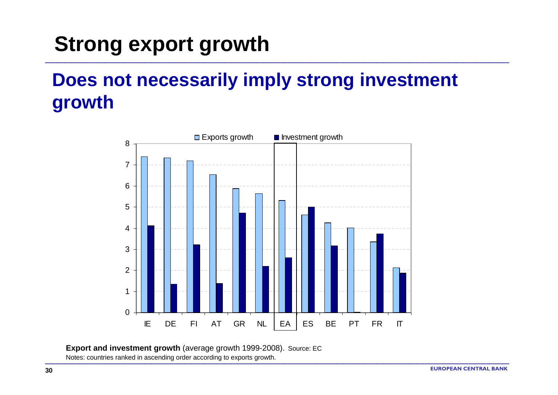### **Does not necessarily imply strong investment growth**

\_\_\_\_\_\_\_\_\_\_\_\_\_\_\_\_\_\_\_\_\_\_\_\_\_\_\_\_\_\_\_\_\_\_\_\_\_\_\_\_\_\_\_\_\_\_\_\_\_\_\_\_\_\_\_\_\_\_\_\_\_\_\_\_\_\_\_\_\_\_

![](_page_29_Figure_2.jpeg)

\_\_\_\_\_\_\_\_\_\_\_\_\_\_\_\_\_\_\_\_\_\_\_\_\_\_\_\_\_\_\_\_\_\_\_\_\_\_\_\_\_\_\_\_\_\_\_\_\_\_\_\_\_\_\_\_\_\_\_\_\_\_\_\_\_\_\_\_\_\_

**Export and investment growth** (average growth 1999-2008). Source: EC

Notes: countries ranked in ascending order according to exports growth.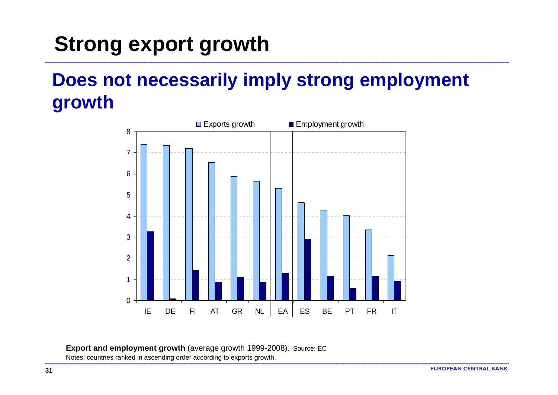### **Does not necessarily imply strong employment growth**

\_\_\_\_\_\_\_\_\_\_\_\_\_\_\_\_\_\_\_\_\_\_\_\_\_\_\_\_\_\_\_\_\_\_\_\_\_\_\_\_\_\_\_\_\_\_\_\_\_\_\_\_\_\_\_\_\_\_\_\_\_\_\_\_\_\_\_\_\_\_

![](_page_30_Figure_2.jpeg)

\_\_\_\_\_\_\_\_\_\_\_\_\_\_\_\_\_\_\_\_\_\_\_\_\_\_\_\_\_\_\_\_\_\_\_\_\_\_\_\_\_\_\_\_\_\_\_\_\_\_\_\_\_\_\_\_\_\_\_\_\_\_\_\_\_\_\_\_\_\_

**Export and employment growth** (average growth 1999-2008). Source: EC Notes: countries ranked in ascending order according to exports growth.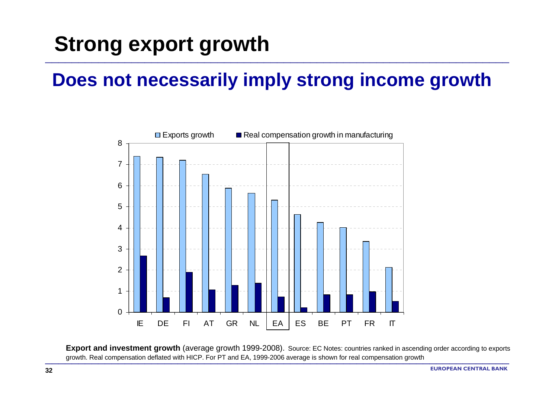#### **Does not necessarily imply strong income growth**

\_\_\_\_\_\_\_\_\_\_\_\_\_\_\_\_\_\_\_\_\_\_\_\_\_\_\_\_\_\_\_\_\_\_\_\_\_\_\_\_\_\_\_\_\_\_\_\_\_\_\_\_\_\_\_\_\_\_\_\_\_\_\_\_\_\_\_\_\_\_

![](_page_31_Figure_2.jpeg)

**Export and investment growth** (average growth 1999-2008). Source: EC Notes: countries ranked in ascending order according to exports growth. Real compensation deflated with HICP. For PT and EA, 1999-2006 average is shown for real compensation growth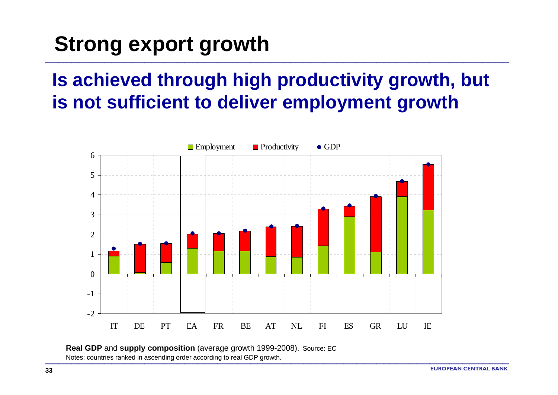### **Is achieved through high productivity growth, but is not sufficient to deliver employment growth**

\_\_\_\_\_\_\_\_\_\_\_\_\_\_\_\_\_\_\_\_\_\_\_\_\_\_\_\_\_\_\_\_\_\_\_\_\_\_\_\_\_\_\_\_\_\_\_\_\_\_\_\_\_\_\_\_\_\_\_\_\_\_\_\_\_\_\_\_\_\_

![](_page_32_Figure_2.jpeg)

\_\_\_\_\_\_\_\_\_\_\_\_\_\_\_\_\_\_\_\_\_\_\_\_\_\_\_\_\_\_\_\_\_\_\_\_\_\_\_\_\_\_\_\_\_\_\_\_\_\_\_\_\_\_\_\_\_\_\_\_\_\_\_\_\_\_\_\_\_\_

**Real GDP** and **supply composition** (average growth 1999-2008). Source: EC Notes: countries ranked in ascending order according to real GDP growth.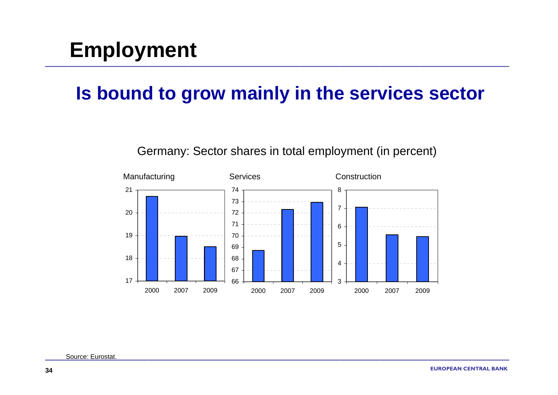# **Employment**

#### **Is bound to grow mainly in the services sector**

![](_page_33_Figure_2.jpeg)

#### Germany: Sector shares in total employment (in percent)

Source: Eurostat.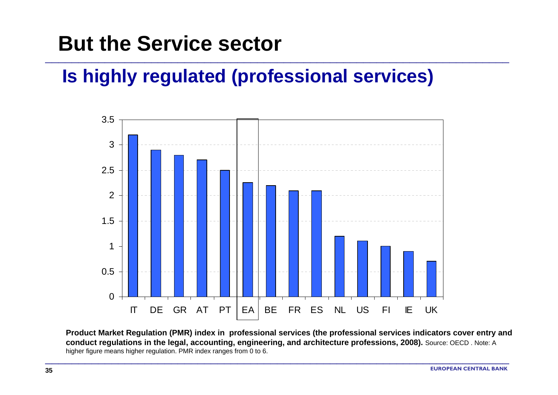## **But the Service sector**

### **Is highly regulated (professional services)**

\_\_\_\_\_\_\_\_\_\_\_\_\_\_\_\_\_\_\_\_\_\_\_\_\_\_\_\_\_\_\_\_\_\_\_\_\_\_\_\_\_\_\_\_\_\_\_\_\_\_\_\_\_\_\_\_\_\_\_\_\_\_\_\_\_\_\_\_\_\_

![](_page_34_Figure_2.jpeg)

**Product Market Regulation (PMR) index in professional services (the professional services indicators cover entry and conduct regulations in the legal, accounting, engineering, and architecture professions, 2008).** Source: OECD . Note: A higher figure means higher regulation. PMR index ranges from 0 to 6.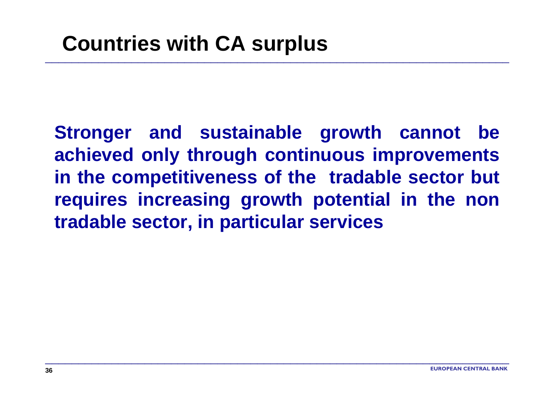**Stronger and sustainable growth cannot be achieved only through continuous improvements in the competitiveness of the tradable sector but requires increasing growth potential in the non tradable sector, in particular services**

\_\_\_\_\_\_\_\_\_\_\_\_\_\_\_\_\_\_\_\_\_\_\_\_\_\_\_\_\_\_\_\_\_\_\_\_\_\_\_\_\_\_\_\_\_\_\_\_\_\_\_\_\_\_\_\_\_\_\_\_\_\_\_\_\_\_\_\_\_\_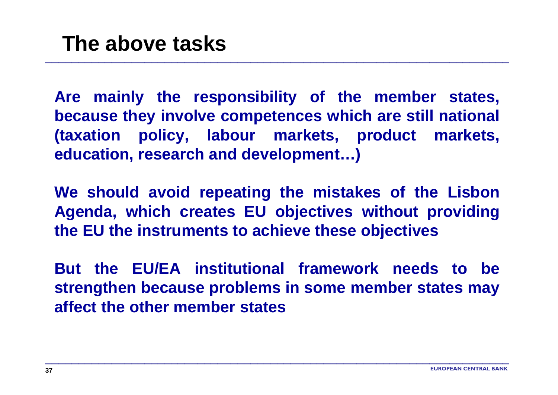**Are mainly the responsibility of the member states, because they involve competences which are still national (taxation policy, labour markets, product markets, education, research and development…)**

\_\_\_\_\_\_\_\_\_\_\_\_\_\_\_\_\_\_\_\_\_\_\_\_\_\_\_\_\_\_\_\_\_\_\_\_\_\_\_\_\_\_\_\_\_\_\_\_\_\_\_\_\_\_\_\_\_\_\_\_\_\_\_\_\_\_\_\_\_\_

**We should avoid repeating the mistakes of the Lisbon Agenda, which creates EU objectives without providing the EU the instruments to achieve these objectives**

**But the EU/EA institutional framework needs to be strengthen because problems in some member states may affect the other member states**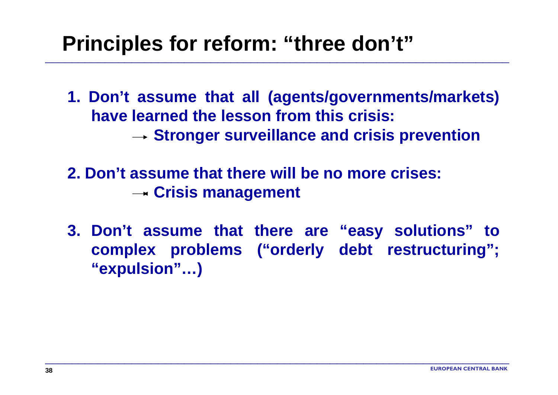## **Principles for reform: "three don't"**

**1. Don't assume that all (agents/governments/markets) have learned the lesson from this crisis:→ Stronger surveillance and crisis prevention** 

\_\_\_\_\_\_\_\_\_\_\_\_\_\_\_\_\_\_\_\_\_\_\_\_\_\_\_\_\_\_\_\_\_\_\_\_\_\_\_\_\_\_\_\_\_\_\_\_\_\_\_\_\_\_\_\_\_\_\_\_\_\_\_\_\_\_\_\_\_\_

- **2. Don't assume that there will be no more crises:Crisis management**
- **3. Don't assume that there are "easy solutions" to complex problems ("orderly debt restructuring"; "expulsion"…)**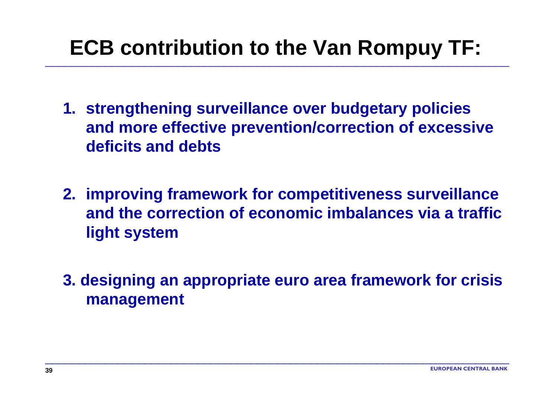# **ECB contribution to the Van Rompuy TF:**

- **1. strengthening surveillance over budgetary policies and more effective prevention/correction of excessive deficits and debts**
- **2. improving framework for competitiveness surveillance and the correction of economic imbalances via a traffic light system**
- **3. designing an appropriate euro area framework for crisis management**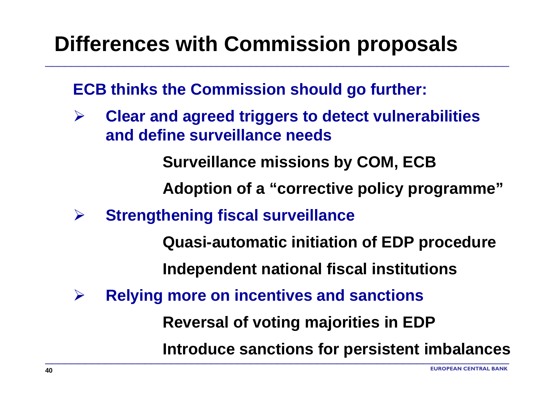# **Differences with Commission proposals**

**ECB thinks the Commission should go further:** 

¾ **Clear and agreed triggers to detect vulnerabilities and define surveillance needs**

**Surveillance missions by COM, ECB**

**Adoption of a "corrective policy programme"**

¾**Strengthening fiscal surveillance**

**Quasi-automatic initiation of EDP procedure**

**Independent national fiscal institutions**

¾**Relying more on incentives and sanctions**

**Reversal of voting majorities in EDP**

\_\_\_\_\_\_\_\_\_\_\_\_\_\_\_\_\_\_\_\_\_\_\_\_\_\_\_\_\_\_\_\_\_\_\_\_\_\_\_\_\_\_\_\_\_\_\_\_\_\_\_\_\_\_\_\_\_\_\_\_\_\_\_\_\_\_\_\_\_\_

**Introduce sanctions for persistent imbalances**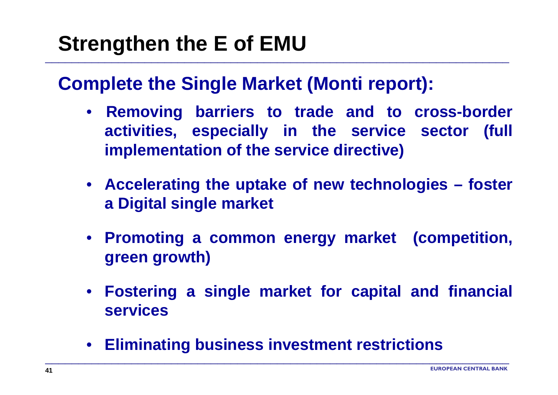# **Strengthen the E of EMU**

#### **Complete the Single Market (Monti report):**

\_\_\_\_\_\_\_\_\_\_\_\_\_\_\_\_\_\_\_\_\_\_\_\_\_\_\_\_\_\_\_\_\_\_\_\_\_\_\_\_\_\_\_\_\_\_\_\_\_\_\_\_\_\_\_\_\_\_\_\_\_\_\_\_\_\_\_\_\_\_

- **Removing barriers to trade and to cross-border activities, especially in the service sector (full implementation of the service directive)**
- **Accelerating the uptake of new technologies – foster a Digital single market**
- **Promoting a common energy market (competition, green growth)**
- **Fostering a single market for capital and financial services**
- **Eliminating business investment restrictions**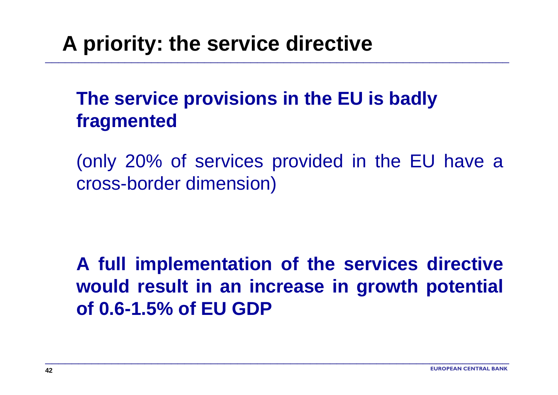# **A priority: the service directive**

### **The service provisions in the EU is badly fragmented**

\_\_\_\_\_\_\_\_\_\_\_\_\_\_\_\_\_\_\_\_\_\_\_\_\_\_\_\_\_\_\_\_\_\_\_\_\_\_\_\_\_\_\_\_\_\_\_\_\_\_\_\_\_\_\_\_\_\_\_\_\_\_\_\_\_\_\_\_\_\_

(only 20% of services provided in the EU have a cross-border dimension)

**A full implementation of the services directive would result in an increase in growth potential of 0.6-1.5% of EU GDP**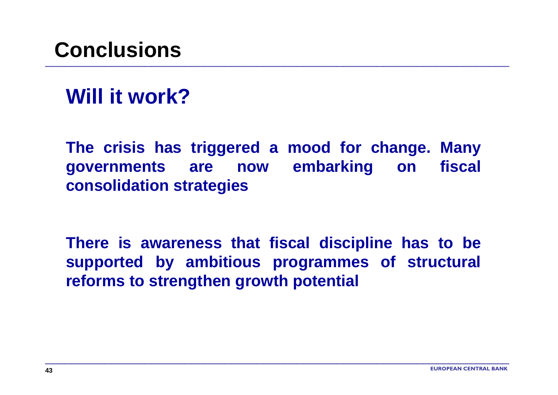## **Conclusions**

## **Will it work?**

**The crisis has triggered a mood for change. Many governments are now embarking on fiscal consolidation strategies** 

**There is awareness that fiscal discipline has to be supported by ambitious programmes of structural reforms to strengthen growth potential**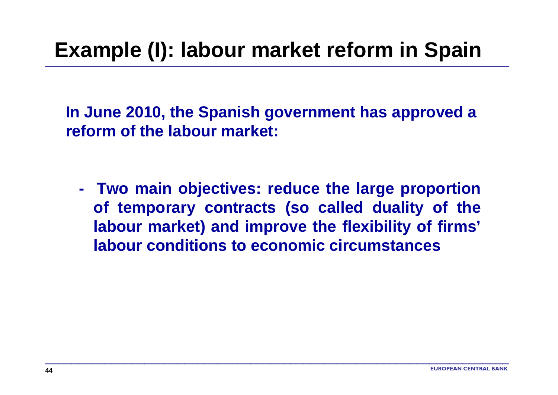# **Example (I): labour market reform in Spain**

**In June 2010, the Spanish government has approved a reform of the labour market:**

 **Two main objectives: reduce the large proportion of temporary contracts (so called duality of the labour market) and improve the flexibility of firms' labour conditions to economic circumstances**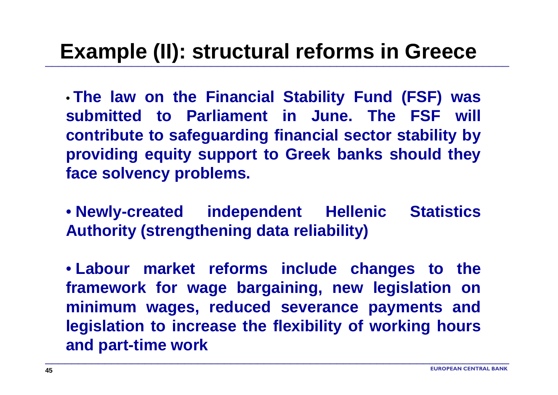### **Example (II): structural reforms in Greece**

• **The law on the Financial Stability Fund (FSF) was submitted to Parliament in June. The FSF will contribute to safeguarding financial sector stability by providing equity support to Greek banks should they face solvency problems.**

• **Newly-created independent Hellenic Statistics Authority (strengthening data reliability)**

• **Labour market reforms include changes to the framework for wage bargaining, new legislation on minimum wages, reduced severance payments and legislation to increase the flexibility of working hours and part-time work**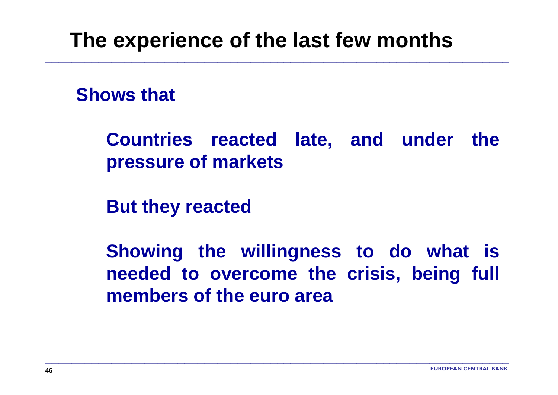### **The experience of the last few months**

\_\_\_\_\_\_\_\_\_\_\_\_\_\_\_\_\_\_\_\_\_\_\_\_\_\_\_\_\_\_\_\_\_\_\_\_\_\_\_\_\_\_\_\_\_\_\_\_\_\_\_\_\_\_\_\_\_\_\_\_\_\_\_\_\_\_\_\_\_\_

#### **Shows that**

**Countries reacted late, and under the pressure of markets**

**But they reacted**

**Showing the willingness to do what is needed to overcome the crisis, being full members of the euro area**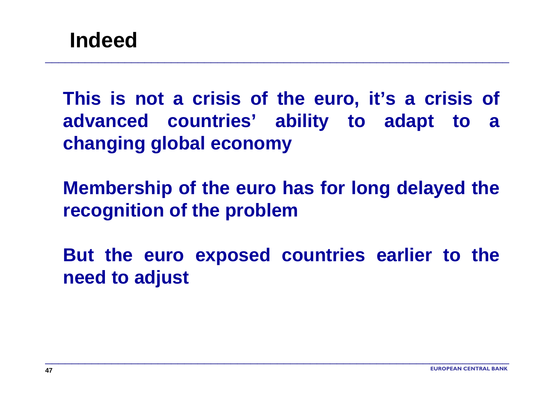**This is not a crisis of the euro, it's a crisis of advanced countries' ability to adapt to a changing global economy**

\_\_\_\_\_\_\_\_\_\_\_\_\_\_\_\_\_\_\_\_\_\_\_\_\_\_\_\_\_\_\_\_\_\_\_\_\_\_\_\_\_\_\_\_\_\_\_\_\_\_\_\_\_\_\_\_\_\_\_\_\_\_\_\_\_\_\_\_\_\_

**Membership of the euro has for long delayed the recognition of the problem**

**But the euro exposed countries earlier to the need to adjust**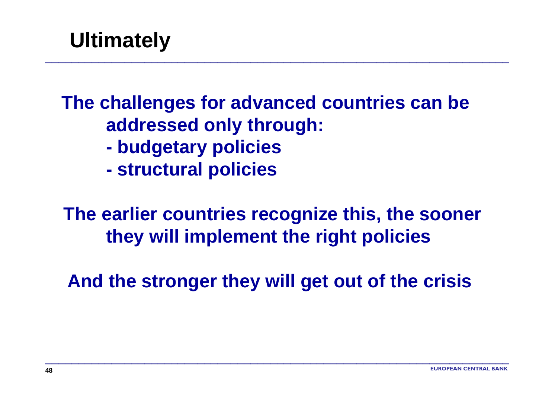# **Ultimately**

### **The challenges for advanced countries can be addressed only through:**

\_\_\_\_\_\_\_\_\_\_\_\_\_\_\_\_\_\_\_\_\_\_\_\_\_\_\_\_\_\_\_\_\_\_\_\_\_\_\_\_\_\_\_\_\_\_\_\_\_\_\_\_\_\_\_\_\_\_\_\_\_\_\_\_\_\_\_\_\_\_

- **budgetary policies**
- **structural policies**

### **The earlier countries recognize this, the sooner they will implement the right policies**

**And the stronger they will get out of the crisis**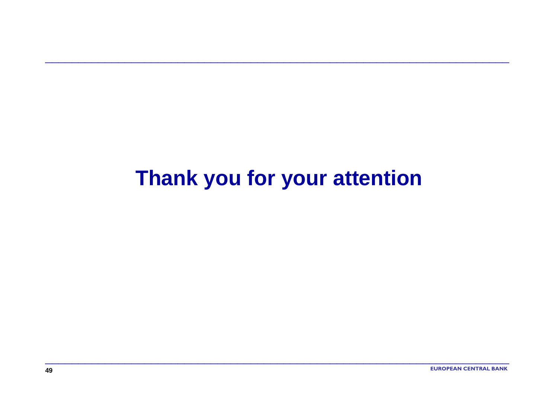# Thank you for your attention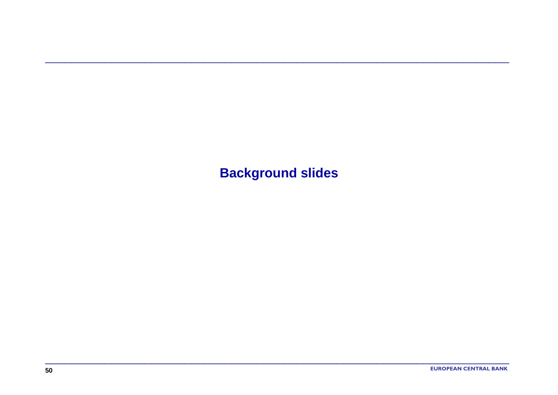**Background slides**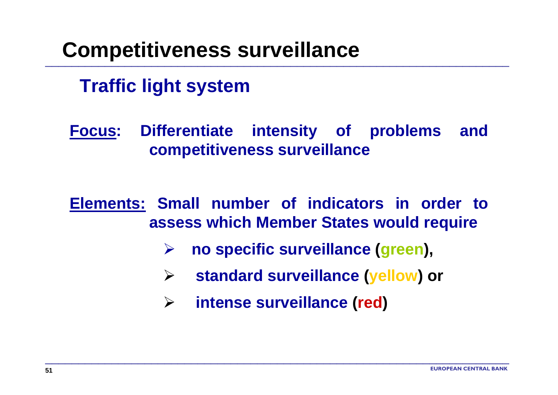## **Competitiveness surveillance**

#### **Traffic light system**

**Focus: Differentiate intensity of problems and competitiveness surveillance**

**Elements: Small number of indicators in order to assess which Member States would require**

- ¾**no specific surveillance (green),**
- ¾**standard surveillance (yellow) or**
- $\blacktriangleright$ **intense surveillance (red)**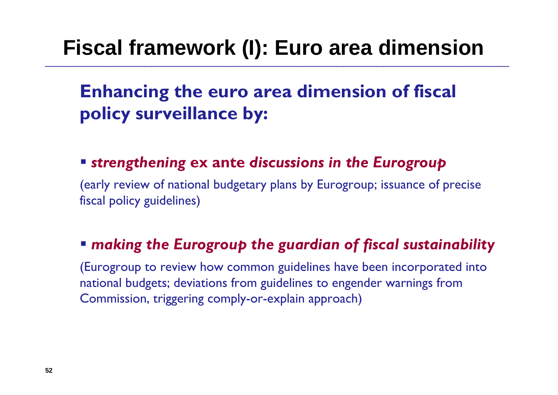# **Fiscal framework (I): Euro area dimension**

### **Enhancing the euro area dimension of fiscal policy surveillance by:**

#### *strengthening* **ex ante** *discussions in the Eurogroup*

(early review of national budgetary plans by Eurogroup; issuance of precise fiscal policy guidelines)

#### *making the Eurogroup the guardian of fiscal sustainability*

(Eurogroup to review how common guidelines have been incorporated into national budgets; deviations from guidelines to engender warnings from Commission, triggering comply-or-explain approach)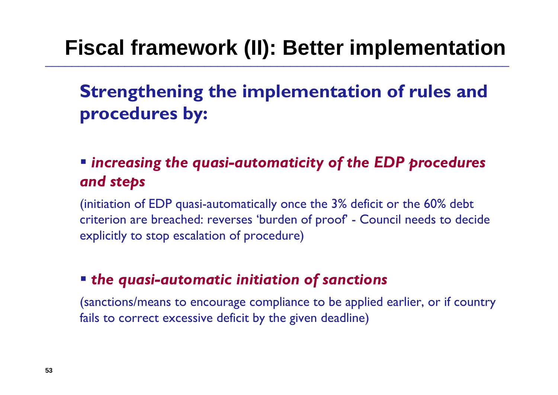# **Fiscal framework (II): Better implementation**

**Strengthening the implementation of rules and procedures by:**

#### *increasing the quasi-automaticity of the EDP procedures and steps*

(initiation of EDP quasi-automatically once the 3% deficit or the 60% debt criterion are breached: reverses 'burden of proof' - Council needs to decide explicitly to stop escalation of procedure)

#### *the quasi-automatic initiation of sanctions*

(sanctions/means to encourage compliance to be applied earlier, or if country fails to correct excessive deficit by the given deadline)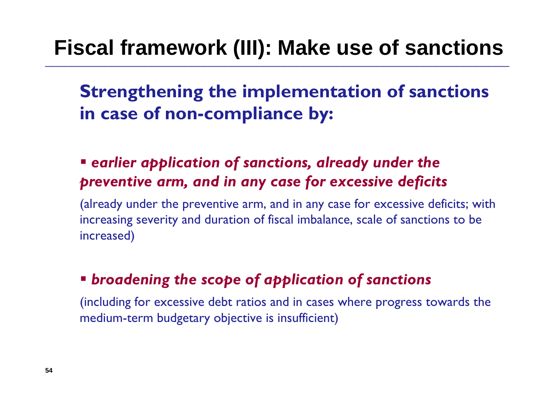# **Fiscal framework (III): Make use of sanctions**

**Strengthening the implementation of sanctions in case of non-compliance by:**

 *earlier application of sanctions, already under the preventive arm, and in any case for excessive deficits*

(already under the preventive arm, and in any case for excessive deficits; with increasing severity and duration of fiscal imbalance, scale of sanctions to be increased)

#### *broadening the scope of application of sanctions*

(including for excessive debt ratios and in cases where progress towards the medium-term budgetary objective is insufficient)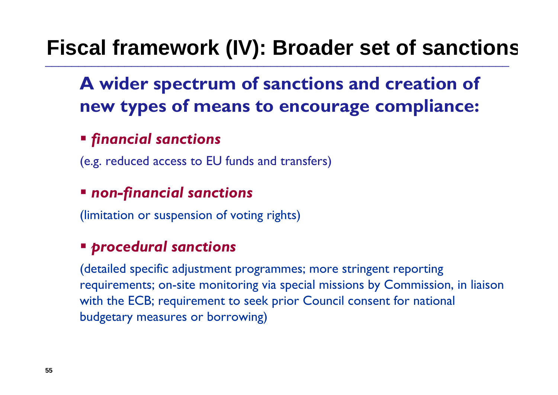# **Fiscal framework (IV): Broader set of sanction s**

### **A wider spectrum of sanctions and creation of new types of means to encourage compliance:**

#### *financial sanctions*

(e.g. reduced access to EU funds and transfers)

#### *non-financial sanctions*

(limitation or suspension of voting rights)

#### *procedural sanctions*

(detailed specific adjustment programmes; more stringent reporting requirements; on-site monitoring via special missions by Commission, in liaison with the ECB; requirement to seek prior Council consent for national budgetary measures or borrowing)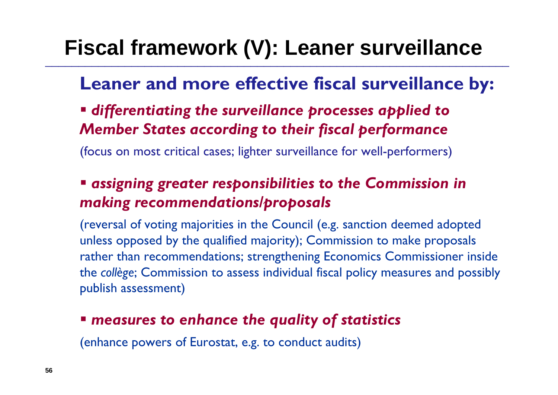# **Fiscal framework (V): Leaner surveillance**

#### **Leaner and more effective fiscal surveillance by:**

 *differentiating the surveillance processes applied to Member States according to their fiscal performance*

(focus on most critical cases; lighter surveillance for well-performers)

#### *assigning greater responsibilities to the Commission in making recommendations/proposals*

(reversal of voting majorities in the Council (e.g. sanction deemed adopted unless opposed by the qualified majority); Commission to make proposals rather than recommendations; strengthening Economics Commissioner inside the *collège*; Commission to assess individual fiscal policy measures and possibly publish assessment)

#### *measures to enhance the quality of statistics*

(enhance powers of Eurostat, e.g. to conduct audits)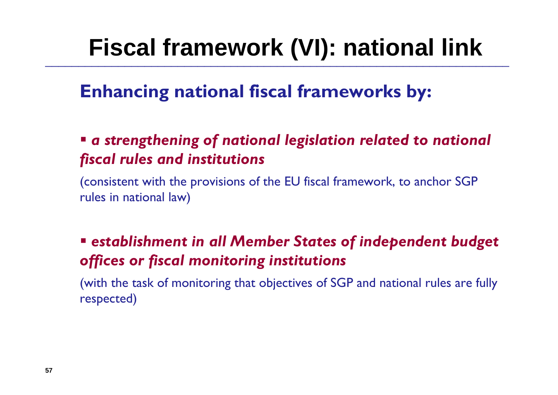# **Fiscal framework (VI): national link**

#### **Enhancing national fiscal frameworks by:**

#### *a strengthening of national legislation related to national fiscal rules and institutions*

(consistent with the provisions of the EU fiscal framework, to anchor SGP rules in national law)

#### *establishment in all Member States of independent budget offices or fiscal monitoring institutions*

(with the task of monitoring that objectives of SGP and national rules are fully respected)